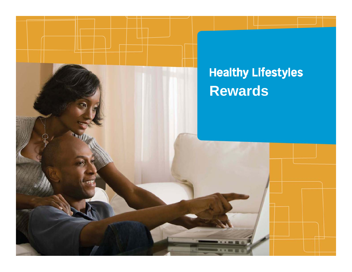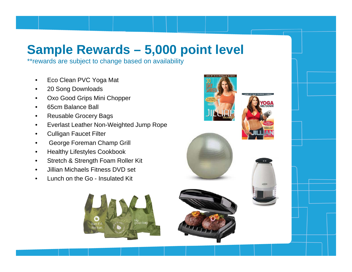## **Sample Rewards – 5,000 point level**

\*\*rewards are subject to change based on availability

- •Eco Clean PVC Yoga Mat
- $\bullet$ 20 Song Downloads
- $\bullet$ Oxo Good Grips Mini Chopper
- $\bullet$ 65cm Balance Ball
- •Reusable Grocery Bags
- •Everlast Leather Non-Weighted Jump Rope
- •Culligan Faucet Filter
- •George Foreman Champ Grill
- •Healthy Lifestyles Cookbook
- •Stretch & Strength Foam Roller Kit
- •Jillian Michaels Fitness DVD set
- •Lunch on the Go - Insulated Kit



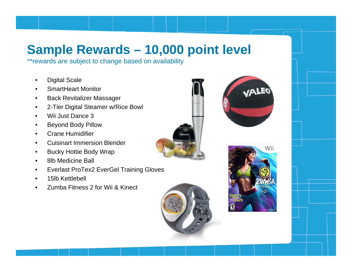## **Sample Rewards – 10,000 point level**

\*\*rewards are subject to change based on availability

- •Digital Scale
- $\bullet$ SmartHeart Monitor
- $\bullet$ Back Revitalizer Massager
- $\bullet$ 2-Tier Digital Steamer w/Rice Bowl
- •Wii Just Dance 3
- •Beyond Body Pillow
- $\bullet$ Crane Humidifier
- •Cuisinart Immersion Blender
- $\bullet$ Bucky Hottie Body Wrap
- $\bullet$ 8lb Medicine Ball
- •Everlast ProTex2 EverGel Training Gloves
- •15lb Kettlebell
- •Zumba Fitness 2 for Wii & Kinect